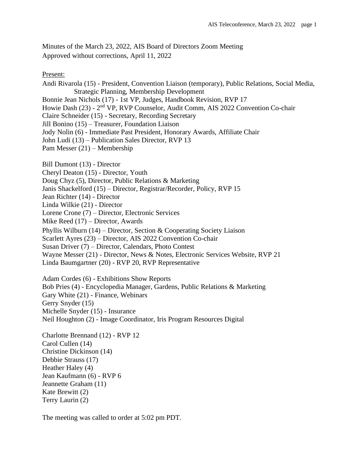# Minutes of the March 23, 2022, AIS Board of Directors Zoom Meeting Approved without corrections, April 11, 2022

Present:

Andi Rivarola (15) - President, Convention Liaison (temporary), Public Relations, Social Media, Strategic Planning, Membership Development Bonnie Jean Nichols (17) - 1st VP, Judges, Handbook Revision, RVP 17 Howie Dash (23) - 2<sup>nd</sup> VP, RVP Counselor, Audit Comm, AIS 2022 Convention Co-chair Claire Schneider (15) - Secretary, Recording Secretary Jill Bonino (15) – Treasurer, Foundation Liaison Jody Nolin (6) - Immediate Past President, Honorary Awards, Affiliate Chair John Ludi (13) – Publication Sales Director, RVP 13 Pam Messer (21) – Membership Bill Dumont (13) - Director Cheryl Deaton (15) - Director, Youth Doug Chyz (5), Director, Public Relations & Marketing Janis Shackelford (15) – Director, Registrar/Recorder, Policy, RVP 15 Jean Richter (14) - Director

Linda Wilkie (21) - Director

Lorene Crone (7) – Director, Electronic Services

Mike Reed (17) – Director, Awards

Phyllis Wilburn (14) – Director, Section & Cooperating Society Liaison

Scarlett Ayres (23) – Director, AIS 2022 Convention Co-chair

Susan Driver (7) – Director, Calendars, Photo Contest

Wayne Messer (21) - Director, News & Notes, Electronic Services Website, RVP 21

Linda Baumgartner (20) - RVP 20, RVP Representative

Adam Cordes (6) - Exhibitions Show Reports Bob Pries (4) - Encyclopedia Manager, Gardens, Public Relations & Marketing Gary White (21) - Finance, Webinars Gerry Snyder (15) Michelle Snyder (15) - Insurance Neil Houghton (2) - Image Coordinator, Iris Program Resources Digital

Charlotte Brennand (12) - RVP 12 Carol Cullen (14) Christine Dickinson (14) Debbie Strauss (17) Heather Haley (4) Jean Kaufmann (6) - RVP 6 Jeannette Graham (11) Kate Brewitt (2) Terry Laurin (2)

The meeting was called to order at 5:02 pm PDT.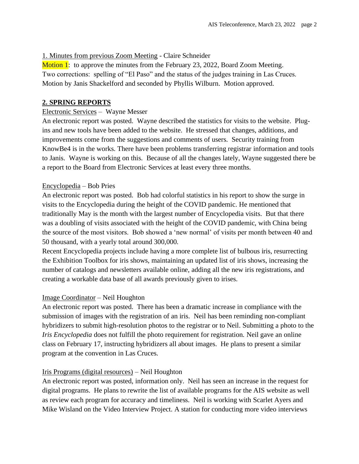## 1. Minutes from previous Zoom Meeting - Claire Schneider

Motion 1: to approve the minutes from the February 23, 2022, Board Zoom Meeting. Two corrections: spelling of "El Paso" and the status of the judges training in Las Cruces. Motion by Janis Shackelford and seconded by Phyllis Wilburn. Motion approved.

### **2. SPRING REPORTS**

### Electronic Services – Wayne Messer

An electronic report was posted. Wayne described the statistics for visits to the website. Plugins and new tools have been added to the website. He stressed that changes, additions, and improvements come from the suggestions and comments of users. Security training from KnowBe4 is in the works. There have been problems transferring registrar information and tools to Janis. Wayne is working on this. Because of all the changes lately, Wayne suggested there be a report to the Board from Electronic Services at least every three months.

### Encyclopedia – Bob Pries

An electronic report was posted. Bob had colorful statistics in his report to show the surge in visits to the Encyclopedia during the height of the COVID pandemic. He mentioned that traditionally May is the month with the largest number of Encyclopedia visits. But that there was a doubling of visits associated with the height of the COVID pandemic, with China being the source of the most visitors. Bob showed a 'new normal' of visits per month between 40 and 50 thousand, with a yearly total around 300,000.

Recent Encyclopedia projects include having a more complete list of bulbous iris, resurrecting the Exhibition Toolbox for iris shows, maintaining an updated list of iris shows, increasing the number of catalogs and newsletters available online, adding all the new iris registrations, and creating a workable data base of all awards previously given to irises.

### Image Coordinator – Neil Houghton

An electronic report was posted. There has been a dramatic increase in compliance with the submission of images with the registration of an iris. Neil has been reminding non-compliant hybridizers to submit high-resolution photos to the registrar or to Neil. Submitting a photo to the *Iris Encyclopedia* does not fulfill the photo requirement for registration. Neil gave an online class on February 17, instructing hybridizers all about images. He plans to present a similar program at the convention in Las Cruces.

### Iris Programs (digital resources) – Neil Houghton

An electronic report was posted, information only. Neil has seen an increase in the request for digital programs. He plans to rewrite the list of available programs for the AIS website as well as review each program for accuracy and timeliness. Neil is working with Scarlet Ayers and Mike Wisland on the Video Interview Project. A station for conducting more video interviews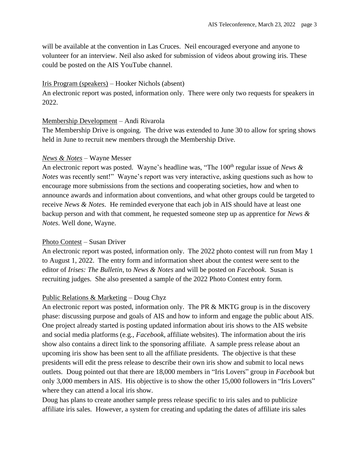will be available at the convention in Las Cruces. Neil encouraged everyone and anyone to volunteer for an interview. Neil also asked for submission of videos about growing iris. These could be posted on the AIS YouTube channel.

#### Iris Program (speakers) – Hooker Nichols (absent)

An electronic report was posted, information only. There were only two requests for speakers in 2022.

#### Membership Development – Andi Rivarola

The Membership Drive is ongoing. The drive was extended to June 30 to allow for spring shows held in June to recruit new members through the Membership Drive.

### *News & Notes* – Wayne Messer

An electronic report was posted. Wayne's headline was, "The 100<sup>th</sup> regular issue of *News & Notes* was recently sent!" Wayne's report was very interactive, asking questions such as how to encourage more submissions from the sections and cooperating societies, how and when to announce awards and information about conventions, and what other groups could be targeted to receive *News & Notes*. He reminded everyone that each job in AIS should have at least one backup person and with that comment, he requested someone step up as apprentice for *News & Notes*. Well done, Wayne.

### Photo Contest – Susan Driver

An electronic report was posted, information only. The 2022 photo contest will run from May 1 to August 1, 2022. The entry form and information sheet about the contest were sent to the editor of *Irises: The Bulletin*, to *News & Notes* and will be posted on *Facebook*. Susan is recruiting judges. She also presented a sample of the 2022 Photo Contest entry form.

### Public Relations & Marketing – Doug Chyz

An electronic report was posted, information only. The PR & MKTG group is in the discovery phase: discussing purpose and goals of AIS and how to inform and engage the public about AIS. One project already started is posting updated information about iris shows to the AIS website and social media platforms (e.g., *Facebook*, affiliate websites). The information about the iris show also contains a direct link to the sponsoring affiliate. A sample press release about an upcoming iris show has been sent to all the affiliate presidents. The objective is that these presidents will edit the press release to describe their own iris show and submit to local news outlets. Doug pointed out that there are 18,000 members in "Iris Lovers" group in *Facebook* but only 3,000 members in AIS. His objective is to show the other 15,000 followers in "Iris Lovers" where they can attend a local iris show.

Doug has plans to create another sample press release specific to iris sales and to publicize affiliate iris sales. However, a system for creating and updating the dates of affiliate iris sales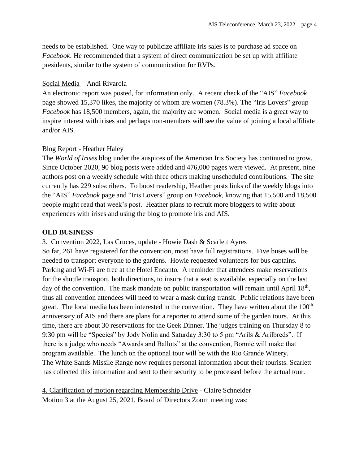needs to be established. One way to publicize affiliate iris sales is to purchase ad space on *Facebook*. He recommended that a system of direct communication be set up with affiliate presidents, similar to the system of communication for RVPs.

### Social Media – Andi Rivarola

An electronic report was posted, for information only. A recent check of the "AIS" *Facebook* page showed 15,370 likes, the majority of whom are women (78.3%). The "Iris Lovers" group *Facebook* has 18,500 members, again, the majority are women. Social media is a great way to inspire interest with irises and perhaps non-members will see the value of joining a local affiliate and/or AIS.

## Blog Report - Heather Haley

The *World of Irises* blog under the auspices of the American Iris Society has continued to grow. Since October 2020, 90 blog posts were added and 476,000 pages were viewed. At present, nine authors post on a weekly schedule with three others making unscheduled contributions. The site currently has 229 subscribers. To boost readership, Heather posts links of the weekly blogs into the "AIS" *Facebook* page and "Iris Lovers" group on *Facebook*, knowing that 15,500 and 18,500 people might read that week's post. Heather plans to recruit more bloggers to write about experiences with irises and using the blog to promote iris and AIS.

### **OLD BUSINESS**

3. Convention 2022, Las Cruces, update - Howie Dash & Scarlett Ayres

So far, 261 have registered for the convention, most have full registrations. Five buses will be needed to transport everyone to the gardens. Howie requested volunteers for bus captains. Parking and Wi-Fi are free at the Hotel Encanto. A reminder that attendees make reservations for the shuttle transport, both directions, to insure that a seat is available, especially on the last day of the convention. The mask mandate on public transportation will remain until April  $18<sup>th</sup>$ , thus all convention attendees will need to wear a mask during transit. Public relations have been great. The local media has been interested in the convention. They have written about the  $100<sup>th</sup>$ anniversary of AIS and there are plans for a reporter to attend some of the garden tours. At this time, there are about 30 reservations for the Geek Dinner. The judges training on Thursday 8 to 9:30 pm will be "Species" by Jody Nolin and Saturday 3:30 to 5 pm "Arils & Arilbreds". If there is a judge who needs "Awards and Ballots" at the convention, Bonnie will make that program available. The lunch on the optional tour will be with the Rio Grande Winery. The White Sands Missile Range now requires personal information about their tourists. Scarlett has collected this information and sent to their security to be processed before the actual tour.

4. Clarification of motion regarding Membership Drive - Claire Schneider Motion 3 at the August 25, 2021, Board of Directors Zoom meeting was: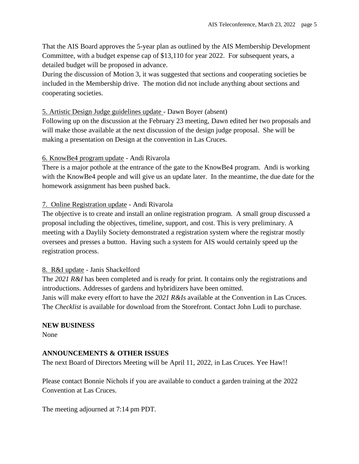That the AIS Board approves the 5-year plan as outlined by the AIS Membership Development Committee, with a budget expense cap of \$13,110 for year 2022. For subsequent years, a detailed budget will be proposed in advance.

During the discussion of Motion 3, it was suggested that sections and cooperating societies be included in the Membership drive. The motion did not include anything about sections and cooperating societies.

### 5. Artistic Design Judge guidelines update - Dawn Boyer (absent)

Following up on the discussion at the February 23 meeting, Dawn edited her two proposals and will make those available at the next discussion of the design judge proposal. She will be making a presentation on Design at the convention in Las Cruces.

### 6. KnowBe4 program update - Andi Rivarola

There is a major pothole at the entrance of the gate to the KnowBe4 program. Andi is working with the KnowBe4 people and will give us an update later. In the meantime, the due date for the homework assignment has been pushed back.

## 7. Online Registration update - Andi Rivarola

The objective is to create and install an online registration program. A small group discussed a proposal including the objectives, timeline, support, and cost. This is very preliminary. A meeting with a Daylily Society demonstrated a registration system where the registrar mostly oversees and presses a button. Having such a system for AIS would certainly speed up the registration process.

### 8. R&I update - Janis Shackelford

The *2021 R&I* has been completed and is ready for print. It contains only the registrations and introductions. Addresses of gardens and hybridizers have been omitted. Janis will make every effort to have the *2021 R&Is* available at the Convention in Las Cruces. The *Checklist* is available for download from the Storefront. Contact John Ludi to purchase.

### **NEW BUSINESS**

None

## **ANNOUNCEMENTS & OTHER ISSUES**

The next Board of Directors Meeting will be April 11, 2022, in Las Cruces. Yee Haw!!

Please contact Bonnie Nichols if you are available to conduct a garden training at the 2022 Convention at Las Cruces.

The meeting adjourned at 7:14 pm PDT.